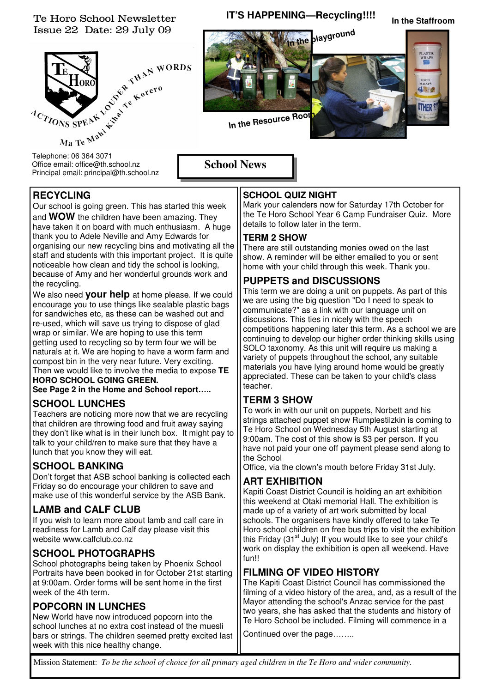#### Te Horo School Newsletter Issue 22 Date: 29 July 09

# TE HORO BEAK LONGITS AGREED WORDS WAS SPEAK LOOP TO KOTETO

Office email: office@th.school.nz Principal email: principal@th.school.nz

#### **In the Staffroom IT'S HAPPENING—Recycling!!!!**







**School News** 

### **RECYCLING**

Our school is going green. This has started this week and **WOW** the children have been amazing. They have taken it on board with much enthusiasm. A huge thank you to Adele Neville and Amy Edwards for organising our new recycling bins and motivating all the staff and students with this important project. It is quite noticeable how clean and tidy the school is looking, because of Amy and her wonderful grounds work and the recycling.

We also need **your help** at home please. If we could encourage you to use things like sealable plastic bags for sandwiches etc, as these can be washed out and re-used, which will save us trying to dispose of glad wrap or similar. We are hoping to use this term getting used to recycling so by term four we will be naturals at it. We are hoping to have a worm farm and compost bin in the very near future. Very exciting. Then we would like to involve the media to expose **TE HORO SCHOOL GOING GREEN.** 

**See Page 2 in the Home and School report…..** 

#### **SCHOOL LUNCHES**

Teachers are noticing more now that we are recycling that children are throwing food and fruit away saying they don't like what is in their lunch box. It might pay to talk to your child/ren to make sure that they have a lunch that you know they will eat.

#### **SCHOOL BANKING**

Don't forget that ASB school banking is collected each Friday so do encourage your children to save and make use of this wonderful service by the ASB Bank.

#### **LAMB and CALF CLUB**

If you wish to learn more about lamb and calf care in readiness for Lamb and Calf day please visit this website www.calfclub.co.nz

#### **SCHOOL PHOTOGRAPHS**

School photographs being taken by Phoenix School Portraits have been booked in for October 21st starting at 9:00am. Order forms will be sent home in the first week of the 4th term.

#### **POPCORN IN LUNCHES**

New World have now introduced popcorn into the school lunches at no extra cost instead of the muesli bars or strings. The children seemed pretty excited last week with this nice healthy change.

#### **SCHOOL QUIZ NIGHT**

Mark your calenders now for Saturday 17th October for the Te Horo School Year 6 Camp Fundraiser Quiz. More details to follow later in the term.

#### **TERM 2 SHOW**

There are still outstanding monies owed on the last show. A reminder will be either emailed to you or sent home with your child through this week. Thank you.

#### **PUPPETS and DISCUSSIONS**

This term we are doing a unit on puppets. As part of this we are using the big question "Do I need to speak to communicate?" as a link with our language unit on discussions. This ties in nicely with the speech competitions happening later this term. As a school we are continuing to develop our higher order thinking skills using SOLO taxonomy. As this unit will require us making a variety of puppets throughout the school, any suitable materials you have lying around home would be greatly appreciated. These can be taken to your child's class teacher.

#### **TERM 3 SHOW**

To work in with our unit on puppets, Norbett and his strings attached puppet show Rumplestilzkin is coming to Te Horo School on Wednesday 5th August starting at 9:00am. The cost of this show is \$3 per person. If you have not paid your one off payment please send along to the School

Office, via the clown's mouth before Friday 31st July.

#### **ART EXHIBITION**

Kapiti Coast District Council is holding an art exhibition this weekend at Otaki memorial Hall. The exhibition is made up of a variety of art work submitted by local schools. The organisers have kindly offered to take Te Horo school children on free bus trips to visit the exhibition this Friday  $(31<sup>st</sup>$  July) If you would like to see your child's work on display the exhibition is open all weekend. Have fun!!

#### **FILMING OF VIDEO HISTORY**

The Kapiti Coast District Council has commissioned the filming of a video history of the area, and, as a result of the Mayor attending the school's Anzac service for the past two years, she has asked that the students and history of Te Horo School be included. Filming will commence in a

Continued over the page……..

Mission Statement: *To be the school of choice for all primary aged children in the Te Horo and wider community.*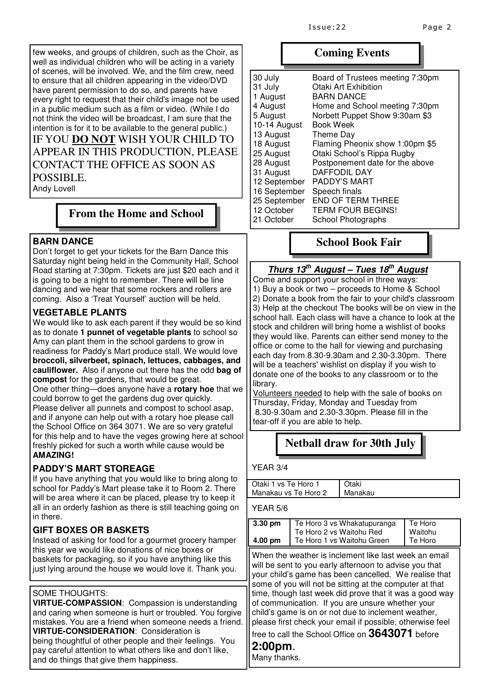few weeks, and groups of children, such as the Choir, as well as individual children who will be acting in a variety of scenes, will be involved. We, and the film crew, need to ensure that all children appearing in the video/DVD have parent permission to do so, and parents have every right to request that their child's image not be used in a public medium such as a film or video. (While I do not think the video will be broadcast, I am sure that the intention is for it to be available to the general public.) IF YOU **DO NOT** WISH YOUR CHILD TO APPEAR IN THIS PRODUCTION, PLEASE CONTACT THE OFFICE AS SOON AS POSSIBLE. Andy Lovell

#### **From the Home and School**

#### **BARN DANCE**

Don't forget to get your tickets for the Barn Dance this Saturday night being held in the Community Hall, School Road starting at 7:30pm. Tickets are just \$20 each and it is going to be a night to remember. There will be line dancing and we hear that some rockers and rollers are coming. Also a 'Treat Yourself' auction will be held.

#### **VEGETABLE PLANTS**

We would like to ask each parent if they would be so kind as to donate **1 punnet of vegetable plants** to school so Amy can plant them in the school gardens to grow in readiness for Paddy's Mart produce stall. We would love **broccoli, silverbeet, spinach, lettuces, cabbages, and cauliflower.** Also if anyone out there has the odd **bag of compost** for the gardens, that would be great. One other thing—does anyone have a **rotary hoe** that we could borrow to get the gardens dug over quickly. Please deliver all punnets and compost to school asap, and if anyone can help out with a rotary hoe please call the School Office on 364 3071. We are so very grateful for this help and to have the veges growing here at school

freshly picked for such a worth while cause would be **AMAZING!** 

#### **PADDY'S MART STOREAGE**

If you have anything that you would like to bring along to school for Paddy's Mart please take it to Room 2. There will be area where it can be placed, please try to keep it all in an orderly fashion as there is still teaching going on in there.

#### **GIFT BOXES OR BASKETS**

Instead of asking for food for a gourmet grocery hamper this year we would like donations of nice boxes or baskets for packaging, so if you have anything like this just lying around the house we would love it. Thank you.

#### SOME THOUGHTS:

**VIRTUE-COMPASSION**: Compassion is understanding and caring when someone is hurt or troubled. You forgive mistakes. You are a friend when someone needs a friend. **VIRTUE-CONSIDERATION**: Consideration is being thoughtful of other people and their feelings. You pay careful attention to what others like and don't like, and do things that give them happiness.

#### **Coming Events**

| 30 July<br>31 July<br>1 August | Board of Trustees meeting 7:30pm<br>Otaki Art Exhibition<br><b>BARN DANCE</b> |
|--------------------------------|-------------------------------------------------------------------------------|
| 4 August                       | Home and School meeting 7:30pm                                                |
| 5 August                       | Norbett Puppet Show 9:30am \$3                                                |
| 10-14 August                   | <b>Book Week</b>                                                              |
| 13 August                      | Theme Day                                                                     |
| 18 August                      | Flaming Pheonix show 1:00pm \$5                                               |
| 25 August                      | Otaki School's Rippa Rugby                                                    |
| 28 August                      | Postponement date for the above                                               |
| 31 August                      | <b>DAFFODIL DAY</b>                                                           |
| 12 September                   | <b>PADDY'S MART</b>                                                           |
| 16 September                   | Speech finals                                                                 |
| 25 September                   | <b>END OF TERM THREE</b>                                                      |
| 12 October                     | <b>TERM FOUR BEGINS!</b>                                                      |
| 21 October                     | School Photographs                                                            |

#### **School Book Fair**

#### **Thurs 13th August – Tues 18th August**

Come and support your school in three ways: 1) Buy a book or two – proceeds to Home & School 2) Donate a book from the fair to your child's classroom 3) Help at the checkout The books will be on view in the school hall. Each class will have a chance to look at the stock and children will bring home a wishlist of books they would like. Parents can either send money to the office or come to the hall for viewing and purchasing each day from 8.30-9.30am and 2.30-3.30pm. There will be a teachers' wishlist on display if you wish to donate one of the books to any classroom or to the library.

Volunteers needed to help with the sale of books on Thursday, Friday, Monday and Tuesday from 8.30-9.30am and 2.30-3.30pm. Please fill in the tear-off if you are able to help.

#### **Netball draw for 30th July**

#### YEAR 3/4

| Otaki 1 vs Te Horo   | Otaki   |
|----------------------|---------|
| Manakau vs Te Horo 2 | Manakau |

#### YEAR 5/6

| $3.30 \text{ pm}$ | Te Horo 3 vs Whakatupuranga<br>Te Horo 2 vs Waitohu Red | Te Horo<br>Waitohu |
|-------------------|---------------------------------------------------------|--------------------|
| $4.00 \text{ pm}$ | Te Horo 1 vs Waitohu Green                              | Te Horo            |

When the weather is inclement like last week an email will be sent to you early afternoon to advise you that your child's game has been cancelled. We realise that some of you will not be sitting at the computer at that time, though last week did prove that it was a good way of communication. If you are unsure whether your child's game is on or not due to inclement weather, please first check your email if possible, otherwise feel

free to call the School Office on **3643071** before **2:00pm**.

Many thanks.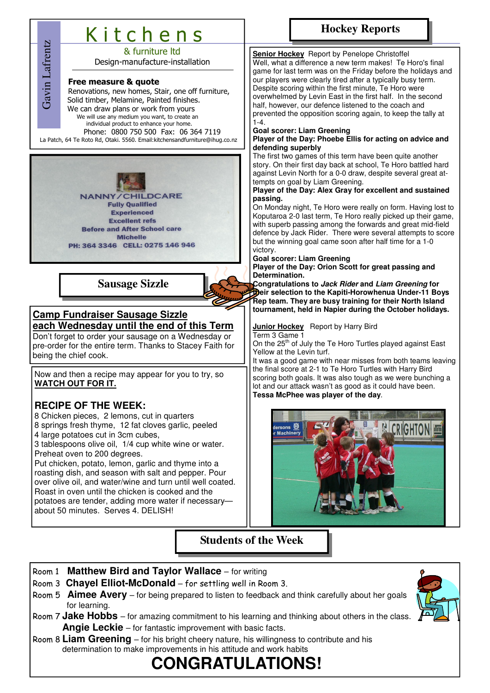# K i t c h e n s

& furniture ltd Design-manufacture-installation

#### Free measure & quote

 Renovations, new homes, Stair, one off furniture, Solid timber, Melamine, Painted finishes. We can draw plans or work from yours We will use any medium you want, to create an individual product to enhance your home. **Phone: 0800 750 500 Fax: 06 364 7119**<br>La Patch, 64 Te Roto Rd, Otaki. 5560. Email: kitchensandfurniture@ihug.co.nz Ra Furniture Itd<br>
Design-manufacture-installation<br>
Free measure & quote<br>
Renovations, new homes, Stair, one off furniture,<br>
Solid timber, Melamine, Painted finishes.<br>
We can draw plans or work from yours<br>
We will use any m



 **Sausage Sizzle** 

#### **Camp Fundraiser Sausage Sizzle each Wednesday until the end of this Term**

Don't forget to order your sausage on a Wednesday or pre-order for the entire term. Thanks to Stacey Faith for being the chief cook.

Now and then a recipe may appear for you to try, so **WATCH OUT FOR IT.**

#### **RECIPE OF THE WEEK:**

8 Chicken pieces, 2 lemons, cut in quarters 8 springs fresh thyme, 12 fat cloves garlic, peeled

4 large potatoes cut in 3cm cubes,

3 tablespoons olive oil, 1/4 cup white wine or water. Preheat oven to 200 degrees.

Put chicken, potato, lemon, garlic and thyme into a roasting dish, and season with salt and pepper. Pour over olive oil, and water/wine and turn until well coated. Roast in oven until the chicken is cooked and the potatoes are tender, adding more water if necessary about 50 minutes. Serves 4. DELISH!

#### **Hockey Reports**

**Senior Hockey** Report by Penelope Christoffel Well, what a difference a new term makes! Te Horo's final game for last term was on the Friday before the holidays and our players were clearly tired after a typically busy term. Despite scoring within the first minute, Te Horo were overwhelmed by Levin East in the first half. In the second half, however, our defence listened to the coach and prevented the opposition scoring again, to keep the tally at 1-4.

#### **Goal scorer: Liam Greening**

#### **Player of the Day: Phoebe Ellis for acting on advice and defending superbly**

The first two games of this term have been quite another story. On their first day back at school, Te Horo battled hard against Levin North for a 0-0 draw, despite several great attempts on goal by Liam Greening.

#### **Player of the Day: Alex Gray for excellent and sustained passing.**

On Monday night, Te Horo were really on form. Having lost to Koputaroa 2-0 last term, Te Horo really picked up their game, with superb passing among the forwards and great mid-field defence by Jack Rider. There were several attempts to score but the winning goal came soon after half time for a 1-0 victory.

**Goal scorer: Liam Greening**

**Player of the Day: Orion Scott for great passing and Determination.**

**Congratulations to Jack Rider and Liam Greening for their selection to the Kapiti-Horowhenua Under-11 Boys Rep team. They are busy training for their North Island tournament, held in Napier during the October holidays.** 

#### **Junior Hockey** Report by Harry Bird

Term 3 Game 1

On the 25<sup>th</sup> of July the Te Horo Turtles played against East Yellow at the Levin turf.

It was a good game with near misses from both teams leaving the final score at 2-1 to Te Horo Turtles with Harry Bird scoring both goals. It was also tough as we were bunching a lot and our attack wasn't as good as it could have been. **Tessa McPhee was player of the day**.



#### **Students of the Week**

- Room 1 **Matthew Bird and Taylor Wallace**  for writing
- Room 3 **Chayel Elliot-McDonald** for settling well in Room 3.
- Room 5 **Aimee Avery**  for being prepared to listen to feedback and think carefully about her goals for learning.
- Room 7 **Jake Hobbs**  for amazing commitment to his learning and thinking about others in the class. **Angie Leckie** – for fantastic improvement with basic facts.
- Room 8 **Liam Greening**  for his bright cheery nature, his willingness to contribute and his determination to make improvements in his attitude and work habits

## **CONGRATULATIONS!**